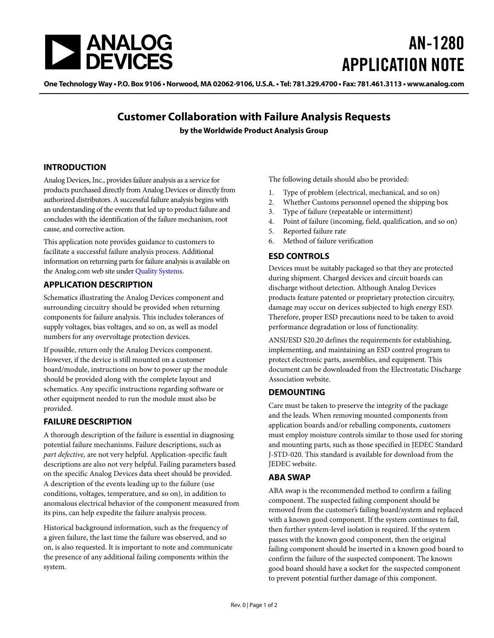

# AN-1280 APPLICATION NOTE

One Technology Way • P.O. Box 9106 • Norwood, MA 02062-9106, U.S.A. • Tel: 781.329.4700 • Fax: 781.461.3113 • [www.analog.com](http://www.analog.com/)

## **Customer Collaboration with Failure Analysis Requests**

**by the Worldwide Product Analysis Group**

#### **INTRODUCTION**

Analog Devices, Inc., provides failure analysis as a service for products purchased directly from Analog Devices or directly from authorized distributors. A successful failure analysis begins with an understanding of the events that led up to product failure and concludes with the identification of the failure mechanism, root cause, and corrective action.

This application note provides guidance to customers to facilitate a successful failure analysis process. Additional information on returning parts for failure analysis is available on the Analog.com web site unde[r Quality Systems.](http://www.analog.com/quality-systems?doc=an-1280.pdf) 

#### **APPLICATION DESCRIPTION**

Schematics illustrating the Analog Devices component and surrounding circuitry should be provided when returning components for failure analysis. This includes tolerances of supply voltages, bias voltages, and so on, as well as model numbers for any overvoltage protection devices.

If possible, return only the Analog Devices component. However, if the device is still mounted on a customer board/module, instructions on how to power up the module should be provided along with the complete layout and schematics. Any specific instructions regarding software or other equipment needed to run the module must also be provided.

#### **FAILURE DESCRIPTION**

A thorough description of the failure is essential in diagnosing potential failure mechanisms. Failure descriptions, such as *part defective,* are not very helpful. Application-specific fault descriptions are also not very helpful. Failing parameters based on the specific Analog Devices data sheet should be provided. A description of the events leading up to the failure (use conditions, voltages, temperature, and so on), in addition to anomalous electrical behavior of the component measured from its pins, can help expedite the failure analysis process.

Historical background information, such as the frequency of a given failure, the last time the failure was observed, and so on, is also requested. It is important to note and communicate the presence of any additional failing components within the system.

The following details should also be provided:

- 1. Type of problem (electrical, mechanical, and so on)
- 2. Whether Customs personnel opened the shipping box
- 3. Type of failure (repeatable or intermittent)
- 4. Point of failure (incoming, field, qualification, and so on)
- 5. Reported failure rate
- 6. Method of failure verification

#### **ESD CONTROLS**

Devices must be suitably packaged so that they are protected during shipment. Charged devices and circuit boards can discharge without detection. Although Analog Devices products feature patented or proprietary protection circuitry, damage may occur on devices subjected to high energy ESD. Therefore, proper ESD precautions need to be taken to avoid performance degradation or loss of functionality.

ANSI/ESD S20.20 defines the requirements for establishing, implementing, and maintaining an ESD control program to protect electronic parts, assemblies, and equipment. This document can be downloaded from the Electrostatic Discharge Association website.

#### **DEMOUNTING**

Care must be taken to preserve the integrity of the package and the leads. When removing mounted components from application boards and/or reballing components, customers must employ moisture controls similar to those used for storing and mounting parts, such as those specified in JEDEC Standard J-STD-020. This standard is available for download from the JEDEC website.

#### **ABA SWAP**

ABA swap is the recommended method to confirm a failing component. The suspected failing component should be removed from the customer's failing board/system and replaced with a known good component. If the system continues to fail, then further system-level isolation is required. If the system passes with the known good component, then the original failing component should be inserted in a known good board to confirm the failure of the suspected component. The known good board should have a socket for the suspected component to prevent potential further damage of this component.